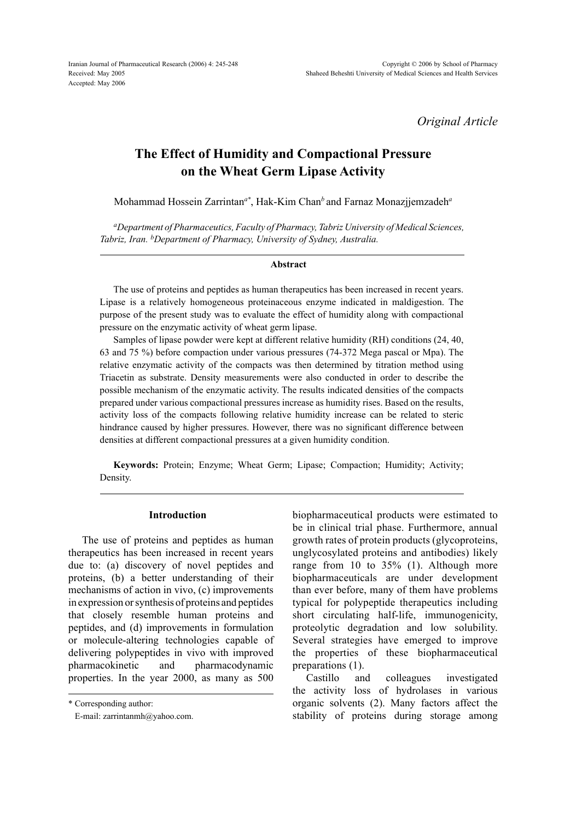Iranian Journal of Pharmaceutical Research (2006) 4: 245-248 Received: May 2005 Accepted: May 2006

*Original Article*

# **The Effect of Humidity and Compactional Pressure on the Wheat Germ Lipase Activity**

Mohammad Hossein Zarrintan*a\** , Hak-Kim Chan*<sup>b</sup>*and Farnaz Monazjjemzadeh*<sup>a</sup>*

*aDepartment of Pharmaceutics, Faculty of Pharmacy, Tabriz University of Medical Sciences, Tabriz, Iran. bDepartment of Pharmacy, University of Sydney, Australia.*

#### **Abstract**

The use of proteins and peptides as human therapeutics has been increased in recent years. Lipase is a relatively homogeneous proteinaceous enzyme indicated in maldigestion. The purpose of the present study was to evaluate the effect of humidity along with compactional pressure on the enzymatic activity of wheat germ lipase.

Samples of lipase powder were kept at different relative humidity (RH) conditions (24, 40, 63 and 75 %) before compaction under various pressures (74-372 Mega pascal or Mpa). The relative enzymatic activity of the compacts was then determined by titration method using Triacetin as substrate. Density measurements were also conducted in order to describe the possible mechanism of the enzymatic activity. The results indicated densities of the compacts prepared under various compactional pressures increase as humidity rises. Based on the results, activity loss of the compacts following relative humidity increase can be related to steric hindrance caused by higher pressures. However, there was no significant difference between densities at different compactional pressures at a given humidity condition.

**Keywords:** Protein; Enzyme; Wheat Germ; Lipase; Compaction; Humidity; Activity; Density.

# **Introduction**

The use of proteins and peptides as human therapeutics has been increased in recent years due to: (a) discovery of novel peptides and proteins, (b) a better understanding of their mechanisms of action in vivo, (c) improvements in expression or synthesis of proteins and peptides that closely resemble human proteins and peptides, and (d) improvements in formulation or molecule-altering technologies capable of delivering polypeptides in vivo with improved pharmacokinetic and pharmacodynamic properties. In the year 2000, as many as 500

\* Corresponding author:

E-mail: zarrintanmh@yahoo.com.

biopharmaceutical products were estimated to be in clinical trial phase. Furthermore, annual growth rates of protein products (glycoproteins, unglycosylated proteins and antibodies) likely range from 10 to 35% (1). Although more biopharmaceuticals are under development than ever before, many of them have problems typical for polypeptide therapeutics including short circulating half-life, immunogenicity, proteolytic degradation and low solubility. Several strategies have emerged to improve the properties of these biopharmaceutical preparations (1).

Castillo and colleagues investigated the activity loss of hydrolases in various organic solvents (2). Many factors affect the stability of proteins during storage among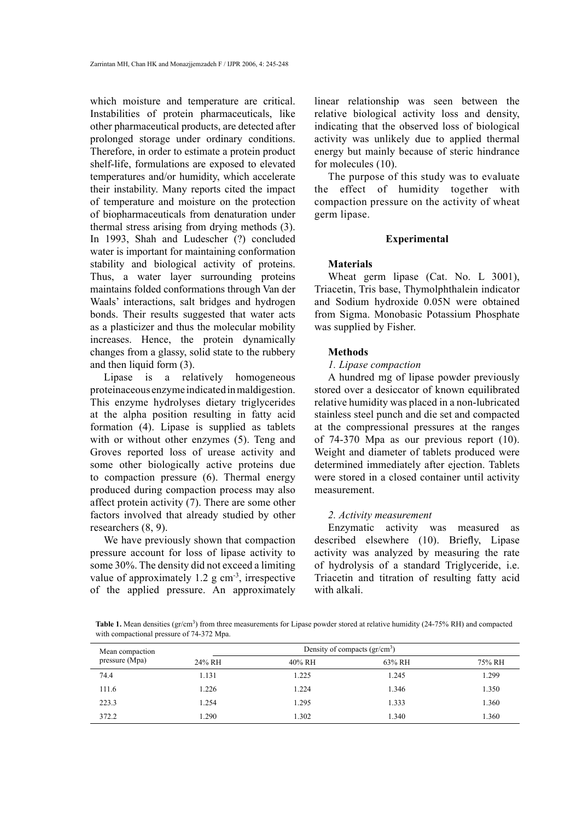which moisture and temperature are critical. Instabilities of protein pharmaceuticals, like other pharmaceutical products, are detected after prolonged storage under ordinary conditions. Therefore, in order to estimate a protein product shelf-life, formulations are exposed to elevated temperatures and/or humidity, which accelerate their instability. Many reports cited the impact of temperature and moisture on the protection of biopharmaceuticals from denaturation under thermal stress arising from drying methods (3). In 1993, Shah and Ludescher (?) concluded water is important for maintaining conformation stability and biological activity of proteins. Thus, a water layer surrounding proteins maintains folded conformations through Van der Waals' interactions, salt bridges and hydrogen bonds. Their results suggested that water acts as a plasticizer and thus the molecular mobility increases. Hence, the protein dynamically changes from a glassy, solid state to the rubbery and then liquid form (3).

Lipase is a relatively homogeneous proteinaceous enzyme indicated in maldigestion. This enzyme hydrolyses dietary triglycerides at the alpha position resulting in fatty acid formation (4). Lipase is supplied as tablets with or without other enzymes (5). Teng and Groves reported loss of urease activity and some other biologically active proteins due to compaction pressure (6). Thermal energy produced during compaction process may also affect protein activity (7). There are some other factors involved that already studied by other researchers (8, 9).

We have previously shown that compaction pressure account for loss of lipase activity to some 30%. The density did not exceed a limiting value of approximately  $1.2$  g cm<sup>-3</sup>, irrespective of the applied pressure. An approximately

linear relationship was seen between the relative biological activity loss and density, indicating that the observed loss of biological activity was unlikely due to applied thermal energy but mainly because of steric hindrance for molecules (10).

The purpose of this study was to evaluate the effect of humidity together with compaction pressure on the activity of wheat germ lipase.

## **Experimental**

## **Materials**

Wheat germ lipase (Cat. No. L 3001), Triacetin, Tris base, Thymolphthalein indicator and Sodium hydroxide 0.05N were obtained from Sigma. Monobasic Potassium Phosphate was supplied by Fisher.

## **Methods**

# *1. Lipase compaction*

A hundred mg of lipase powder previously stored over a desiccator of known equilibrated relative humidity was placed in a non-lubricated stainless steel punch and die set and compacted at the compressional pressures at the ranges of 74-370 Mpa as our previous report (10). Weight and diameter of tablets produced were determined immediately after ejection. Tablets were stored in a closed container until activity measurement.

# *2. Activity measurement*

Enzymatic activity was measured as described elsewhere (10). Briefly, Lipase activity was analyzed by measuring the rate of hydrolysis of a standard Triglyceride, i.e. Triacetin and titration of resulting fatty acid with alkali.

Table 1. Mean densities (gr/cm<sup>3</sup>) from three measurements for Lipase powder stored at relative humidity (24-75% RH) and compacted with compactional pressure of 74-372 Mpa.

| Mean compaction<br>pressure (Mpa) | Density of compacts $\rm (gr/cm^3)$ |        |        |        |
|-----------------------------------|-------------------------------------|--------|--------|--------|
|                                   | 24% RH                              | 40% RH | 63% RH | 75% RH |
| 74.4                              | 1.131                               | 1.225  | 1.245  | 1.299  |
| 111.6                             | 1.226                               | 1.224  | 1.346  | 1.350  |
| 223.3                             | 1.254                               | 1.295  | 1.333  | 1.360  |
| 372.2                             | 1.290                               | 1.302  | 1.340  | 1.360  |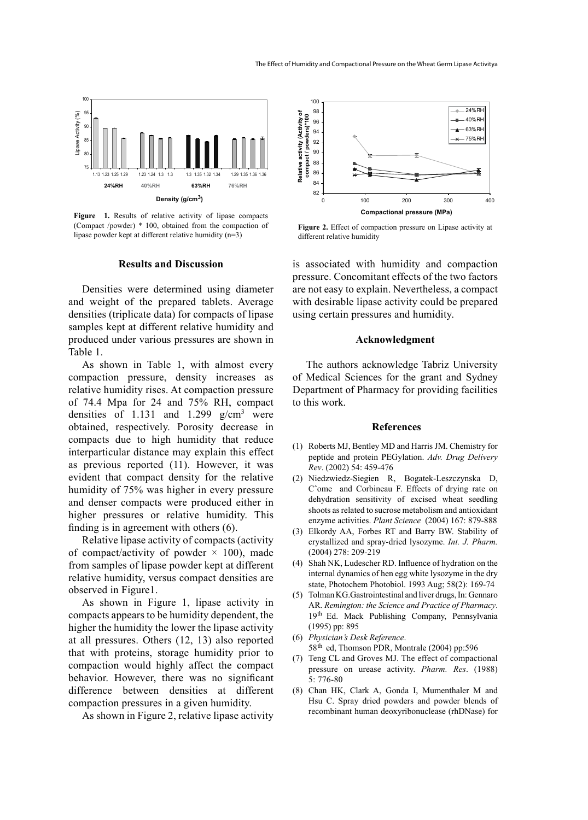

Figure 1. Results of relative activity of lipase compacts (Compact /powder) \* 100, obtained from the compaction of lipase powder kept at different relative humidity (n=3)

## **Results and Discussion**

Densities were determined using diameter and weight of the prepared tablets. Average densities (triplicate data) for compacts of lipase samples kept at different relative humidity and produced under various pressures are shown in Table 1.

As shown in Table 1, with almost every compaction pressure, density increases as relative humidity rises. At compaction pressure of 74.4 Mpa for 24 and 75% RH, compact densities of 1.131 and 1.299  $g/cm<sup>3</sup>$  were obtained, respectively. Porosity decrease in compacts due to high humidity that reduce interparticular distance may explain this effect as previous reported (11). However, it was evident that compact density for the relative humidity of 75% was higher in every pressure and denser compacts were produced either in higher pressures or relative humidity. This finding is in agreement with others (6).

Relative lipase activity of compacts (activity of compact/activity of powder  $\times$  100), made from samples of lipase powder kept at different relative humidity, versus compact densities are observed in Figure1.

As shown in Figure 1, lipase activity in compacts appears to be humidity dependent, the higher the humidity the lower the lipase activity at all pressures. Others (12, 13) also reported that with proteins, storage humidity prior to compaction would highly affect the compact behavior. However, there was no significant difference between densities at different compaction pressures in a given humidity.

As shown in Figure 2, relative lipase activity



**Figure 2.** Effect of compaction pressure on Lipase activity at different relative humidity

is associated with humidity and compaction pressure. Concomitant effects of the two factors are not easy to explain. Nevertheless, a compact with desirable lipase activity could be prepared using certain pressures and humidity.

## **Acknowledgment**

The authors acknowledge Tabriz University of Medical Sciences for the grant and Sydney Department of Pharmacy for providing facilities to this work.

## **References**

- (1) Roberts MJ, Bentley MD and Harris JM. Chemistry for peptide and protein PEGylation. *Adv. Drug Delivery Rev*. (2002) 54: 459-476
- (2) Niedzwiedz-Siegien R, Bogatek-Leszczynska D, Cˆome and Corbineau F. Effects of drying rate on dehydration sensitivity of excised wheat seedling shoots as related to sucrose metabolism and antioxidant enzyme activities. *Plant Science* (2004) 167: 879-888
- Elkordy AA, Forbes RT and Barry BW. Stability of (3) crystallized and spray-dried lysozyme. *Int. J. Pharm.*  (2004) 278: 209-219
- Shah NK, Ludescher RD. Influence of hydration on the (4) internal dynamics of hen egg white lysozyme in the dry state, Photochem Photobiol. 1993 Aug; 58(2): 169-74
- Tolman KG.Gastrointestinal and liver drugs, In: Gennaro (5) AR. *Remington: the Science and Practice of Pharmacy*. 19th Ed. Mack Publishing Company, Pennsylvania (1995) pp: 895
- *Physician's Desk Reference*. (6) 58<sup>th</sup> ed, Thomson PDR, Montrale (2004) pp:596
- (7) Teng CL and Groves MJ. The effect of compactional pressure on urease activity. *Pharm. Res*. (1988) 5: 776-80
- Chan HK, Clark A, Gonda I, Mumenthaler M and (8) Hsu C. Spray dried powders and powder blends of recombinant human deoxyribonuclease (rhDNase) for